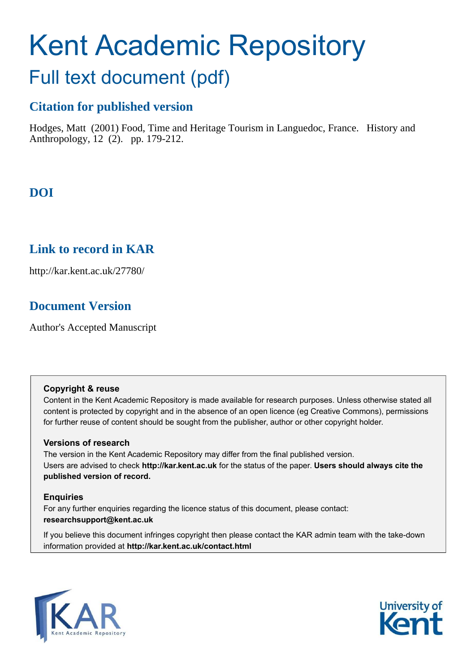# Kent Academic Repository

## Full text document (pdf)

## **Citation for published version**

Hodges, Matt (2001) Food, Time and Heritage Tourism in Languedoc, France. History and Anthropology, 12 (2). pp. 179-212.

## **DOI**

## **Link to record in KAR**

http://kar.kent.ac.uk/27780/

## **Document Version**

Author's Accepted Manuscript

#### **Copyright & reuse**

Content in the Kent Academic Repository is made available for research purposes. Unless otherwise stated all content is protected by copyright and in the absence of an open licence (eg Creative Commons), permissions for further reuse of content should be sought from the publisher, author or other copyright holder.

#### **Versions of research**

The version in the Kent Academic Repository may differ from the final published version. Users are advised to check **http://kar.kent.ac.uk** for the status of the paper. **Users should always cite the published version of record.**

#### **Enquiries**

For any further enquiries regarding the licence status of this document, please contact: **researchsupport@kent.ac.uk**

If you believe this document infringes copyright then please contact the KAR admin team with the take-down information provided at **http://kar.kent.ac.uk/contact.html**



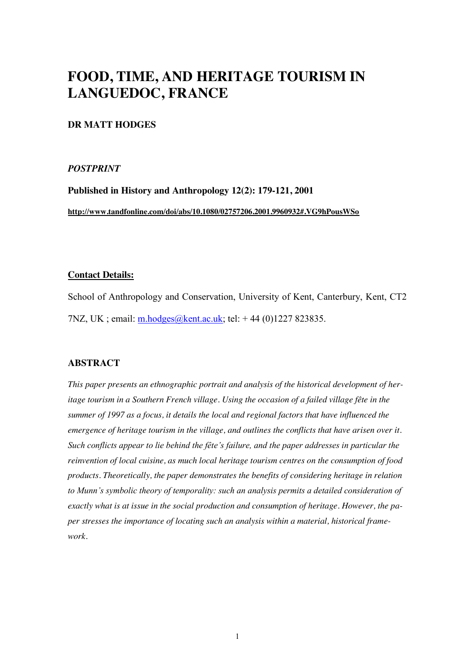## **FOOD, TIME, AND HERITAGE TOURISM IN LANGUEDOC, FRANCE**

#### **DR MATT HODGES**

#### *POSTPRINT*

**Published in History and Anthropology 12(2): 179-121, 2001 http://www.tandfonline.com/doi/abs/10.1080/02757206.2001.9960932#.VG9hPousWSo**

#### **Contact Details:**

School of Anthropology and Conservation, University of Kent, Canterbury, Kent, CT2 7NZ, UK ; email: [m.hodges@kent.ac.uk;](mailto:m.hodges@kent.ac.uk) tel: + 44 (0)1227 823835.

#### **ABSTRACT**

*This paper presents an ethnographic portrait and analysis of the historical development of heritage tourism in a Southern French village. Using the occasion of a failed village fête in the summer of 1997 as a focus, it details the local and regional factors that have influenced the emergence of heritage tourism in the village, and outlines the conflicts that have arisen over it. Such conflicts appear to lie behind the fête's failure, and the paper addresses in particular the reinvention of local cuisine, as much local heritage tourism centres on the consumption of food products. Theoretically, the paper demonstrates the benefits of considering heritage in relation to Munn's symbolic theory of temporality: such an analysis permits a detailed consideration of exactly what is at issue in the social production and consumption of heritage. However, the paper stresses the importance of locating such an analysis within a material, historical framework.*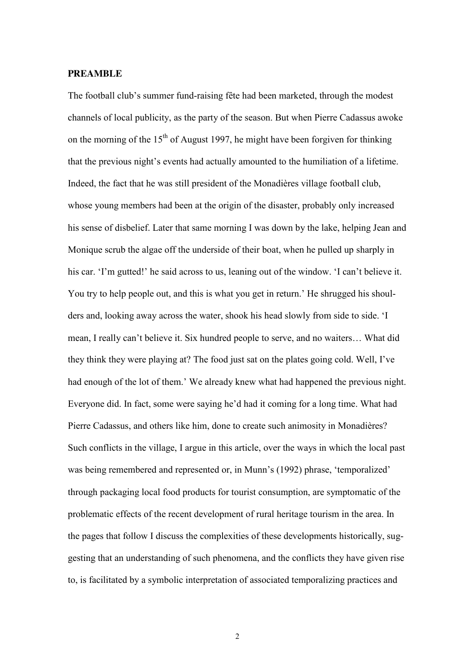#### **PREAMBLE**

The football club's summer fund-raising fête had been marketed, through the modest channels of local publicity, as the party of the season. But when Pierre Cadassus awoke on the morning of the  $15<sup>th</sup>$  of August 1997, he might have been forgiven for thinking that the previous night's events had actually amounted to the humiliation of a lifetime. Indeed, the fact that he was still president of the Monadières village football club, whose young members had been at the origin of the disaster, probably only increased his sense of disbelief. Later that same morning I was down by the lake, helping Jean and Monique scrub the algae off the underside of their boat, when he pulled up sharply in his car. 'I'm gutted!' he said across to us, leaning out of the window. 'I can't believe it. You try to help people out, and this is what you get in return.' He shrugged his shoulders and, looking away across the water, shook his head slowly from side to side. 'I mean, I really can't believe it. Six hundred people to serve, and no waiters… What did they think they were playing at? The food just sat on the plates going cold. Well, I've had enough of the lot of them.' We already knew what had happened the previous night. Everyone did. In fact, some were saying he'd had it coming for a long time. What had Pierre Cadassus, and others like him, done to create such animosity in Monadières? Such conflicts in the village, I argue in this article, over the ways in which the local past was being remembered and represented or, in Munn's (1992) phrase, 'temporalized' through packaging local food products for tourist consumption, are symptomatic of the problematic effects of the recent development of rural heritage tourism in the area. In the pages that follow I discuss the complexities of these developments historically, suggesting that an understanding of such phenomena, and the conflicts they have given rise to, is facilitated by a symbolic interpretation of associated temporalizing practices and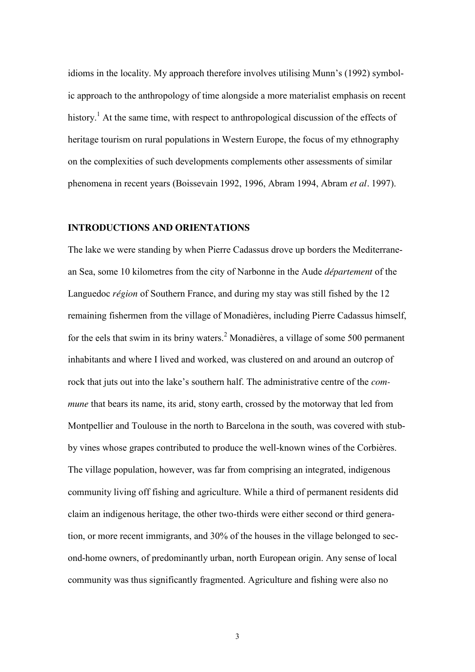idioms in the locality. My approach therefore involves utilising Munn's (1992) symbolic approach to the anthropology of time alongside a more materialist emphasis on recent history.<sup>1</sup> At the same time, with respect to anthropological discussion of the effects of heritage tourism on rural populations in Western Europe, the focus of my ethnography on the complexities of such developments complements other assessments of similar phenomena in recent years (Boissevain 1992, 1996, Abram 1994, Abram *et al.* 1997).

#### **INTRODUCTIONS AND ORIENTATIONS**

The lake we were standing by when Pierre Cadassus drove up borders the Mediterranean Sea, some 10 kilometres from the city of Narbonne in the Aude *département* of the Languedoc *région* of Southern France, and during my stay was still fished by the 12 remaining fishermen from the village of Monadières, including Pierre Cadassus himself, for the eels that swim in its briny waters. $2$  Monadières, a village of some 500 permanent inhabitants and where I lived and worked, was clustered on and around an outcrop of rock that juts out into the lake's southern half. The administrative centre of the *commune* that bears its name, its arid, stony earth, crossed by the motorway that led from Montpellier and Toulouse in the north to Barcelona in the south, was covered with stubby vines whose grapes contributed to produce the well-known wines of the Corbières. The village population, however, was far from comprising an integrated, indigenous community living off fishing and agriculture. While a third of permanent residents did claim an indigenous heritage, the other two-thirds were either second or third generation, or more recent immigrants, and 30% of the houses in the village belonged to second-home owners, of predominantly urban, north European origin. Any sense of local community was thus significantly fragmented. Agriculture and fishing were also no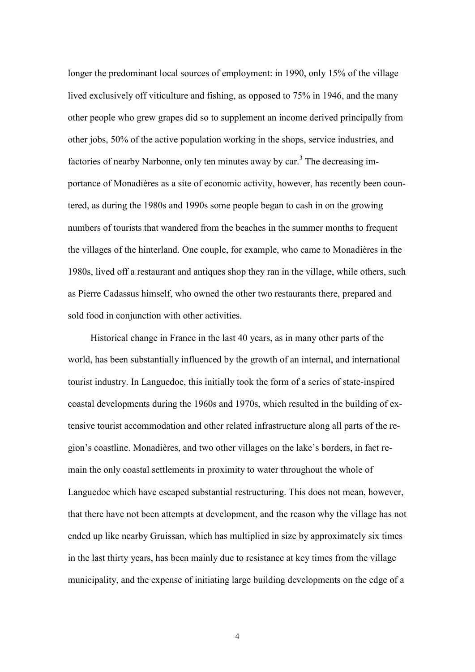longer the predominant local sources of employment: in 1990, only 15% of the village lived exclusively off viticulture and fishing, as opposed to 75% in 1946, and the many other people who grew grapes did so to supplement an income derived principally from other jobs, 50% of the active population working in the shops, service industries, and factories of nearby Narbonne, only ten minutes away by car.<sup>3</sup> The decreasing importance of Monadières as a site of economic activity, however, has recently been countered, as during the 1980s and 1990s some people began to cash in on the growing numbers of tourists that wandered from the beaches in the summer months to frequent the villages of the hinterland. One couple, for example, who came to Monadières in the 1980s, lived off a restaurant and antiques shop they ran in the village, while others, such as Pierre Cadassus himself, who owned the other two restaurants there, prepared and sold food in conjunction with other activities.

 Historical change in France in the last 40 years, as in many other parts of the world, has been substantially influenced by the growth of an internal, and international tourist industry. In Languedoc, this initially took the form of a series of state-inspired coastal developments during the 1960s and 1970s, which resulted in the building of extensive tourist accommodation and other related infrastructure along all parts of the region's coastline. Monadières, and two other villages on the lake's borders, in fact remain the only coastal settlements in proximity to water throughout the whole of Languedoc which have escaped substantial restructuring. This does not mean, however, that there have not been attempts at development, and the reason why the village has not ended up like nearby Gruissan, which has multiplied in size by approximately six times in the last thirty years, has been mainly due to resistance at key times from the village municipality, and the expense of initiating large building developments on the edge of a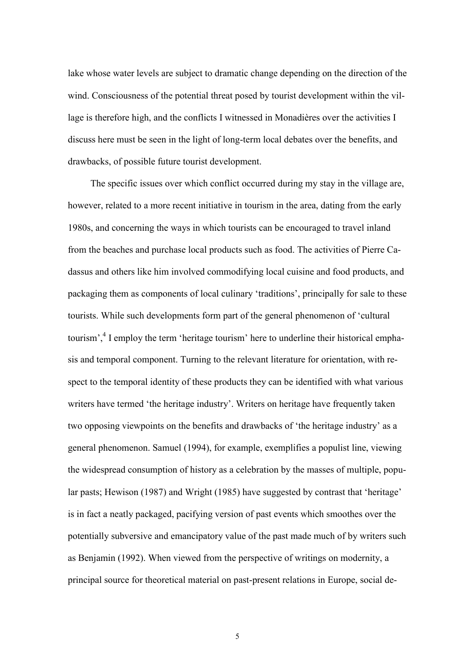lake whose water levels are subject to dramatic change depending on the direction of the wind. Consciousness of the potential threat posed by tourist development within the village is therefore high, and the conflicts I witnessed in Monadières over the activities I discuss here must be seen in the light of long-term local debates over the benefits, and drawbacks, of possible future tourist development.

 The specific issues over which conflict occurred during my stay in the village are, however, related to a more recent initiative in tourism in the area, dating from the early 1980s, and concerning the ways in which tourists can be encouraged to travel inland from the beaches and purchase local products such as food. The activities of Pierre Cadassus and others like him involved commodifying local cuisine and food products, and packaging them as components of local culinary 'traditions', principally for sale to these tourists. While such developments form part of the general phenomenon of 'cultural tourism',<sup>4</sup> I employ the term 'heritage tourism' here to underline their historical emphasis and temporal component. Turning to the relevant literature for orientation, with respect to the temporal identity of these products they can be identified with what various writers have termed 'the heritage industry'. Writers on heritage have frequently taken two opposing viewpoints on the benefits and drawbacks of 'the heritage industry' as a general phenomenon. Samuel (1994), for example, exemplifies a populist line, viewing the widespread consumption of history as a celebration by the masses of multiple, popular pasts; Hewison (1987) and Wright (1985) have suggested by contrast that 'heritage' is in fact a neatly packaged, pacifying version of past events which smoothes over the potentially subversive and emancipatory value of the past made much of by writers such as Benjamin (1992). When viewed from the perspective of writings on modernity, a principal source for theoretical material on past-present relations in Europe, social de-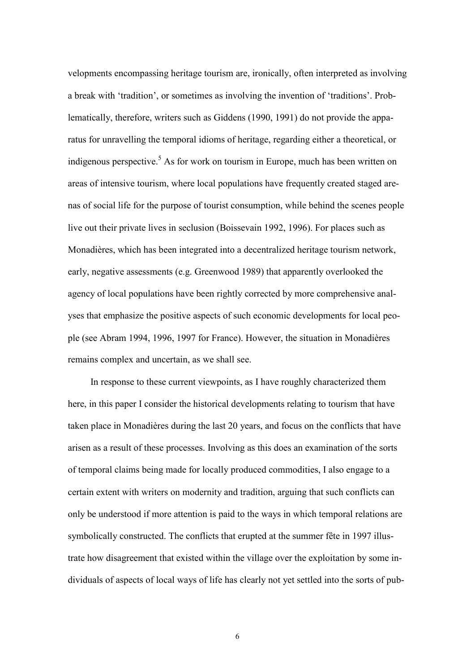velopments encompassing heritage tourism are, ironically, often interpreted as involving a break with 'tradition', or sometimes as involving the invention of 'traditions'. Problematically, therefore, writers such as Giddens (1990, 1991) do not provide the apparatus for unravelling the temporal idioms of heritage, regarding either a theoretical, or indigenous perspective.<sup>5</sup> As for work on tourism in Europe, much has been written on areas of intensive tourism, where local populations have frequently created staged arenas of social life for the purpose of tourist consumption, while behind the scenes people live out their private lives in seclusion (Boissevain 1992, 1996). For places such as Monadières, which has been integrated into a decentralized heritage tourism network, early, negative assessments (e.g. Greenwood 1989) that apparently overlooked the agency of local populations have been rightly corrected by more comprehensive analyses that emphasize the positive aspects of such economic developments for local people (see Abram 1994, 1996, 1997 for France). However, the situation in Monadières remains complex and uncertain, as we shall see.

 In response to these current viewpoints, as I have roughly characterized them here, in this paper I consider the historical developments relating to tourism that have taken place in Monadières during the last 20 years, and focus on the conflicts that have arisen as a result of these processes. Involving as this does an examination of the sorts of temporal claims being made for locally produced commodities, I also engage to a certain extent with writers on modernity and tradition, arguing that such conflicts can only be understood if more attention is paid to the ways in which temporal relations are symbolically constructed. The conflicts that erupted at the summer fête in 1997 illustrate how disagreement that existed within the village over the exploitation by some individuals of aspects of local ways of life has clearly not yet settled into the sorts of pub-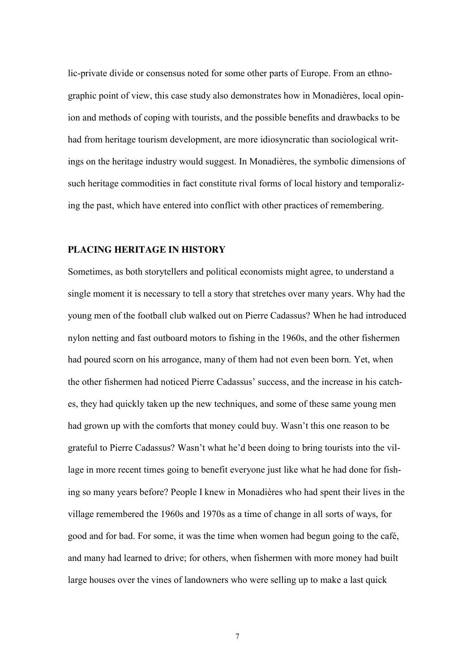lic-private divide or consensus noted for some other parts of Europe. From an ethnographic point of view, this case study also demonstrates how in Monadières, local opinion and methods of coping with tourists, and the possible benefits and drawbacks to be had from heritage tourism development, are more idiosyncratic than sociological writings on the heritage industry would suggest. In Monadières, the symbolic dimensions of such heritage commodities in fact constitute rival forms of local history and temporalizing the past, which have entered into conflict with other practices of remembering.

#### **PLACING HERITAGE IN HISTORY**

Sometimes, as both storytellers and political economists might agree, to understand a single moment it is necessary to tell a story that stretches over many years. Why had the young men of the football club walked out on Pierre Cadassus? When he had introduced nylon netting and fast outboard motors to fishing in the 1960s, and the other fishermen had poured scorn on his arrogance, many of them had not even been born. Yet, when the other fishermen had noticed Pierre Cadassus' success, and the increase in his catches, they had quickly taken up the new techniques, and some of these same young men had grown up with the comforts that money could buy. Wasn't this one reason to be grateful to Pierre Cadassus? Wasn't what he'd been doing to bring tourists into the village in more recent times going to benefit everyone just like what he had done for fishing so many years before? People I knew in Monadières who had spent their lives in the village remembered the 1960s and 1970s as a time of change in all sorts of ways, for good and for bad. For some, it was the time when women had begun going to the café, and many had learned to drive; for others, when fishermen with more money had built large houses over the vines of landowners who were selling up to make a last quick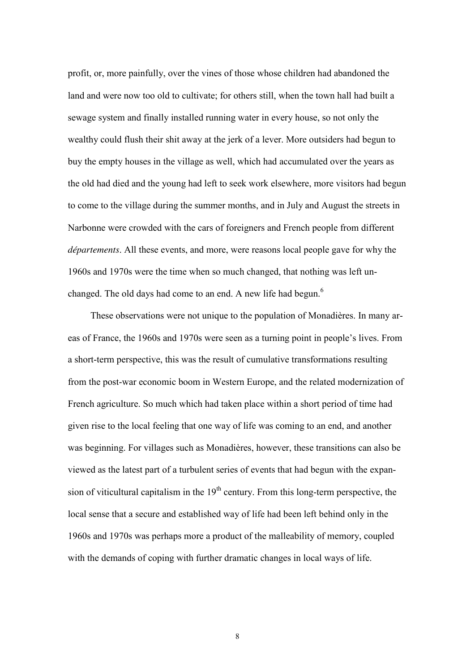profit, or, more painfully, over the vines of those whose children had abandoned the land and were now too old to cultivate; for others still, when the town hall had built a sewage system and finally installed running water in every house, so not only the wealthy could flush their shit away at the jerk of a lever. More outsiders had begun to buy the empty houses in the village as well, which had accumulated over the years as the old had died and the young had left to seek work elsewhere, more visitors had begun to come to the village during the summer months, and in July and August the streets in Narbonne were crowded with the cars of foreigners and French people from different *départements*. All these events, and more, were reasons local people gave for why the 1960s and 1970s were the time when so much changed, that nothing was left unchanged. The old days had come to an end. A new life had begun.<sup>6</sup>

 These observations were not unique to the population of Monadières. In many areas of France, the 1960s and 1970s were seen as a turning point in people's lives. From a short-term perspective, this was the result of cumulative transformations resulting from the post-war economic boom in Western Europe, and the related modernization of French agriculture. So much which had taken place within a short period of time had given rise to the local feeling that one way of life was coming to an end, and another was beginning. For villages such as Monadières, however, these transitions can also be viewed as the latest part of a turbulent series of events that had begun with the expansion of viticultural capitalism in the  $19<sup>th</sup>$  century. From this long-term perspective, the local sense that a secure and established way of life had been left behind only in the 1960s and 1970s was perhaps more a product of the malleability of memory, coupled with the demands of coping with further dramatic changes in local ways of life.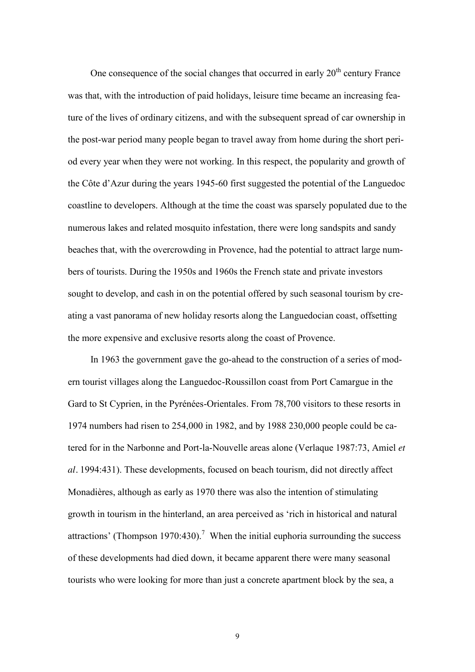One consequence of the social changes that occurred in early  $20<sup>th</sup>$  century France was that, with the introduction of paid holidays, leisure time became an increasing feature of the lives of ordinary citizens, and with the subsequent spread of car ownership in the post-war period many people began to travel away from home during the short period every year when they were not working. In this respect, the popularity and growth of the Côte d'Azur during the years 1945-60 first suggested the potential of the Languedoc coastline to developers. Although at the time the coast was sparsely populated due to the numerous lakes and related mosquito infestation, there were long sandspits and sandy beaches that, with the overcrowding in Provence, had the potential to attract large numbers of tourists. During the 1950s and 1960s the French state and private investors sought to develop, and cash in on the potential offered by such seasonal tourism by creating a vast panorama of new holiday resorts along the Languedocian coast, offsetting the more expensive and exclusive resorts along the coast of Provence.

 In 1963 the government gave the go-ahead to the construction of a series of modern tourist villages along the Languedoc-Roussillon coast from Port Camargue in the Gard to St Cyprien, in the Pyrénées-Orientales. From 78,700 visitors to these resorts in 1974 numbers had risen to 254,000 in 1982, and by 1988 230,000 people could be catered for in the Narbonne and Port-la-Nouvelle areas alone (Verlaque 1987:73, Amiel *et al.* 1994:431). These developments, focused on beach tourism, did not directly affect Monadières, although as early as 1970 there was also the intention of stimulating growth in tourism in the hinterland, an area perceived as 'rich in historical and natural attractions' (Thompson 1970:430).<sup>7</sup> When the initial euphoria surrounding the success of these developments had died down, it became apparent there were many seasonal tourists who were looking for more than just a concrete apartment block by the sea, a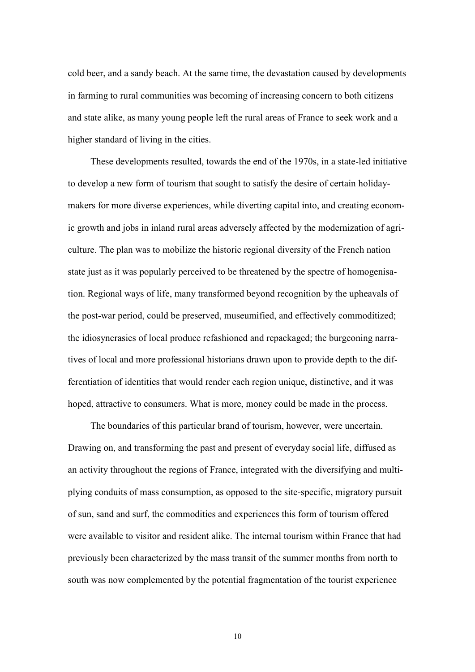cold beer, and a sandy beach. At the same time, the devastation caused by developments in farming to rural communities was becoming of increasing concern to both citizens and state alike, as many young people left the rural areas of France to seek work and a higher standard of living in the cities.

 These developments resulted, towards the end of the 1970s, in a state-led initiative to develop a new form of tourism that sought to satisfy the desire of certain holidaymakers for more diverse experiences, while diverting capital into, and creating economic growth and jobs in inland rural areas adversely affected by the modernization of agriculture. The plan was to mobilize the historic regional diversity of the French nation state just as it was popularly perceived to be threatened by the spectre of homogenisation. Regional ways of life, many transformed beyond recognition by the upheavals of the post-war period, could be preserved, museumified, and effectively commoditized; the idiosyncrasies of local produce refashioned and repackaged; the burgeoning narratives of local and more professional historians drawn upon to provide depth to the differentiation of identities that would render each region unique, distinctive, and it was hoped, attractive to consumers. What is more, money could be made in the process.

 The boundaries of this particular brand of tourism, however, were uncertain. Drawing on, and transforming the past and present of everyday social life, diffused as an activity throughout the regions of France, integrated with the diversifying and multiplying conduits of mass consumption, as opposed to the site-specific, migratory pursuit of sun, sand and surf, the commodities and experiences this form of tourism offered were available to visitor and resident alike. The internal tourism within France that had previously been characterized by the mass transit of the summer months from north to south was now complemented by the potential fragmentation of the tourist experience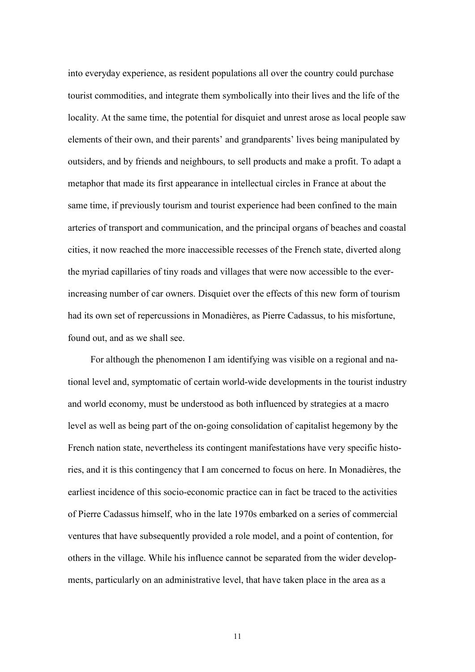into everyday experience, as resident populations all over the country could purchase tourist commodities, and integrate them symbolically into their lives and the life of the locality. At the same time, the potential for disquiet and unrest arose as local people saw elements of their own, and their parents' and grandparents' lives being manipulated by outsiders, and by friends and neighbours, to sell products and make a profit. To adapt a metaphor that made its first appearance in intellectual circles in France at about the same time, if previously tourism and tourist experience had been confined to the main arteries of transport and communication, and the principal organs of beaches and coastal cities, it now reached the more inaccessible recesses of the French state, diverted along the myriad capillaries of tiny roads and villages that were now accessible to the everincreasing number of car owners. Disquiet over the effects of this new form of tourism had its own set of repercussions in Monadières, as Pierre Cadassus, to his misfortune, found out, and as we shall see.

 For although the phenomenon I am identifying was visible on a regional and national level and, symptomatic of certain world-wide developments in the tourist industry and world economy, must be understood as both influenced by strategies at a macro level as well as being part of the on-going consolidation of capitalist hegemony by the French nation state, nevertheless its contingent manifestations have very specific histories, and it is this contingency that I am concerned to focus on here. In Monadières, the earliest incidence of this socio-economic practice can in fact be traced to the activities of Pierre Cadassus himself, who in the late 1970s embarked on a series of commercial ventures that have subsequently provided a role model, and a point of contention, for others in the village. While his influence cannot be separated from the wider developments, particularly on an administrative level, that have taken place in the area as a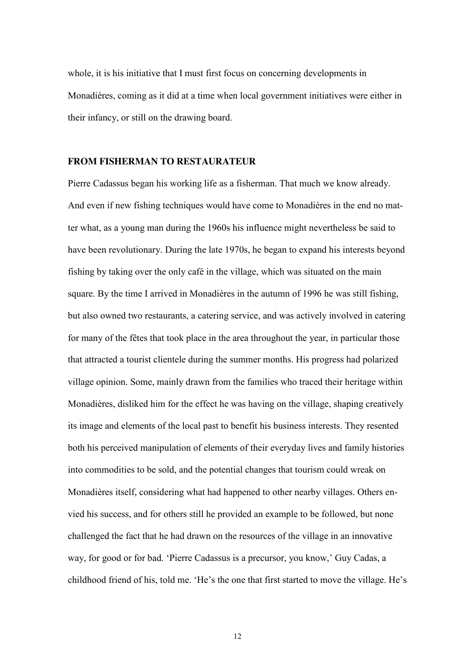whole, it is his initiative that I must first focus on concerning developments in Monadières, coming as it did at a time when local government initiatives were either in their infancy, or still on the drawing board.

#### **FROM FISHERMAN TO RESTAURATEUR**

Pierre Cadassus began his working life as a fisherman. That much we know already. And even if new fishing techniques would have come to Monadières in the end no matter what, as a young man during the 1960s his influence might nevertheless be said to have been revolutionary. During the late 1970s, he began to expand his interests beyond fishing by taking over the only café in the village, which was situated on the main square. By the time I arrived in Monadières in the autumn of 1996 he was still fishing, but also owned two restaurants, a catering service, and was actively involved in catering for many of the fêtes that took place in the area throughout the year, in particular those that attracted a tourist clientele during the summer months. His progress had polarized village opinion. Some, mainly drawn from the families who traced their heritage within Monadières, disliked him for the effect he was having on the village, shaping creatively its image and elements of the local past to benefit his business interests. They resented both his perceived manipulation of elements of their everyday lives and family histories into commodities to be sold, and the potential changes that tourism could wreak on Monadières itself, considering what had happened to other nearby villages. Others envied his success, and for others still he provided an example to be followed, but none challenged the fact that he had drawn on the resources of the village in an innovative way, for good or for bad. 'Pierre Cadassus is a precursor, you know,' Guy Cadas, a childhood friend of his, told me. 'He's the one that first started to move the village. He's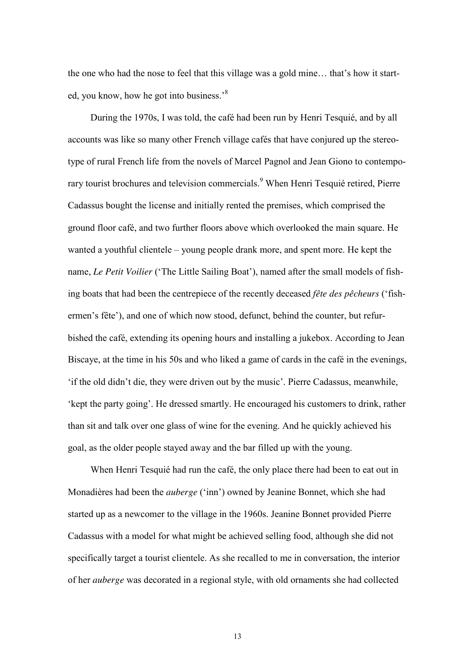the one who had the nose to feel that this village was a gold mine… that's how it started, you know, how he got into business.<sup>8</sup>

 During the 1970s, I was told, the café had been run by Henri Tesquié, and by all accounts was like so many other French village cafés that have conjured up the stereotype of rural French life from the novels of Marcel Pagnol and Jean Giono to contemporary tourist brochures and television commercials.<sup>9</sup> When Henri Tesquié retired, Pierre Cadassus bought the license and initially rented the premises, which comprised the ground floor café, and two further floors above which overlooked the main square. He wanted a youthful clientele – young people drank more, and spent more. He kept the name, *Le Petit Voilier* ('The Little Sailing Boat'), named after the small models of fishing boats that had been the centrepiece of the recently deceased *fête des pêcheurs* ('fishermen's fête'), and one of which now stood, defunct, behind the counter, but refurbished the café, extending its opening hours and installing a jukebox. According to Jean Biscaye, at the time in his 50s and who liked a game of cards in the café in the evenings, 'if the old didn't die, they were driven out by the music'. Pierre Cadassus, meanwhile, 'kept the party going'. He dressed smartly. He encouraged his customers to drink, rather than sit and talk over one glass of wine for the evening. And he quickly achieved his goal, as the older people stayed away and the bar filled up with the young.

 When Henri Tesquié had run the café, the only place there had been to eat out in Monadières had been the *auberge* ('inn') owned by Jeanine Bonnet, which she had started up as a newcomer to the village in the 1960s. Jeanine Bonnet provided Pierre Cadassus with a model for what might be achieved selling food, although she did not specifically target a tourist clientele. As she recalled to me in conversation, the interior of her *auberge* was decorated in a regional style, with old ornaments she had collected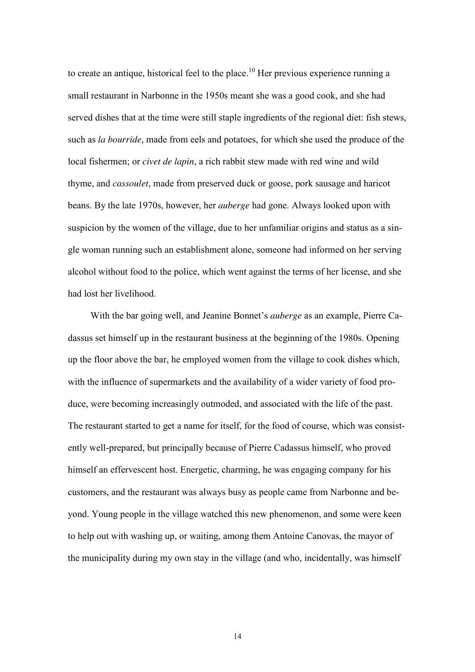to create an antique, historical feel to the place.<sup>10</sup> Her previous experience running a small restaurant in Narbonne in the 1950s meant she was a good cook, and she had served dishes that at the time were still staple ingredients of the regional diet: fish stews, such as *la bourride*, made from eels and potatoes, for which she used the produce of the local fishermen; or *civet de lapin*, a rich rabbit stew made with red wine and wild thyme, and *cassoulet*, made from preserved duck or goose, pork sausage and haricot beans. By the late 1970s, however, her *auberge* had gone. Always looked upon with suspicion by the women of the village, due to her unfamiliar origins and status as a single woman running such an establishment alone, someone had informed on her serving alcohol without food to the police, which went against the terms of her license, and she had lost her livelihood.

 With the bar going well, and Jeanine Bonnet's *auberge* as an example, Pierre Cadassus set himself up in the restaurant business at the beginning of the 1980s. Opening up the floor above the bar, he employed women from the village to cook dishes which, with the influence of supermarkets and the availability of a wider variety of food produce, were becoming increasingly outmoded, and associated with the life of the past. The restaurant started to get a name for itself, for the food of course, which was consistently well-prepared, but principally because of Pierre Cadassus himself, who proved himself an effervescent host. Energetic, charming, he was engaging company for his customers, and the restaurant was always busy as people came from Narbonne and beyond. Young people in the village watched this new phenomenon, and some were keen to help out with washing up, or waiting, among them Antoine Canovas, the mayor of the municipality during my own stay in the village (and who, incidentally, was himself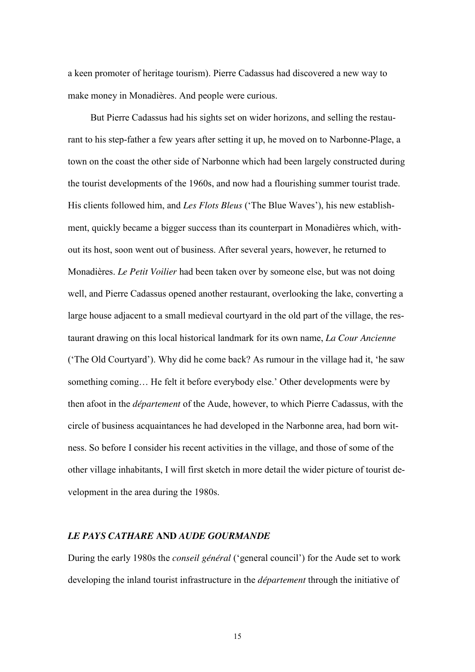a keen promoter of heritage tourism). Pierre Cadassus had discovered a new way to make money in Monadières. And people were curious.

 But Pierre Cadassus had his sights set on wider horizons, and selling the restaurant to his step-father a few years after setting it up, he moved on to Narbonne-Plage, a town on the coast the other side of Narbonne which had been largely constructed during the tourist developments of the 1960s, and now had a flourishing summer tourist trade. His clients followed him, and *Les Flots Bleus* ('The Blue Waves'), his new establishment, quickly became a bigger success than its counterpart in Monadières which, without its host, soon went out of business. After several years, however, he returned to Monadières. *Le Petit Voilier* had been taken over by someone else, but was not doing well, and Pierre Cadassus opened another restaurant, overlooking the lake, converting a large house adjacent to a small medieval courtyard in the old part of the village, the restaurant drawing on this local historical landmark for its own name, *La Cour Ancienne* ('The Old Courtyard'). Why did he come back? As rumour in the village had it, 'he saw something coming… He felt it before everybody else.' Other developments were by then afoot in the *département* of the Aude, however, to which Pierre Cadassus, with the circle of business acquaintances he had developed in the Narbonne area, had born witness. So before I consider his recent activities in the village, and those of some of the other village inhabitants, I will first sketch in more detail the wider picture of tourist development in the area during the 1980s.

#### *LE PAYS CATHARE* **AND** *AUDE GOURMANDE*

During the early 1980s the *conseil général* ('general council') for the Aude set to work developing the inland tourist infrastructure in the *département* through the initiative of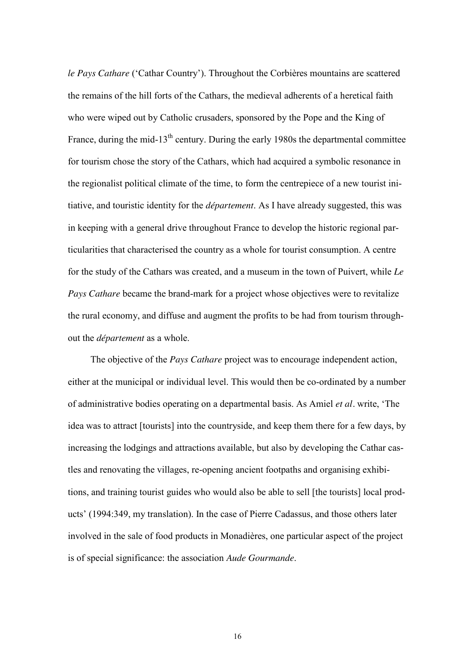*le Pays Cathare* ('Cathar Country'). Throughout the Corbières mountains are scattered the remains of the hill forts of the Cathars, the medieval adherents of a heretical faith who were wiped out by Catholic crusaders, sponsored by the Pope and the King of France, during the mid-13<sup>th</sup> century. During the early 1980s the departmental committee for tourism chose the story of the Cathars, which had acquired a symbolic resonance in the regionalist political climate of the time, to form the centrepiece of a new tourist initiative, and touristic identity for the *département*. As I have already suggested, this was in keeping with a general drive throughout France to develop the historic regional particularities that characterised the country as a whole for tourist consumption. A centre for the study of the Cathars was created, and a museum in the town of Puivert, while *Le Pays Cathare* became the brand-mark for a project whose objectives were to revitalize the rural economy, and diffuse and augment the profits to be had from tourism throughout the *département* as a whole.

 The objective of the *Pays Cathare* project was to encourage independent action, either at the municipal or individual level. This would then be co-ordinated by a number of administrative bodies operating on a departmental basis. As Amiel *et al.* write, 'The idea was to attract [tourists] into the countryside, and keep them there for a few days, by increasing the lodgings and attractions available, but also by developing the Cathar castles and renovating the villages, re-opening ancient footpaths and organising exhibitions, and training tourist guides who would also be able to sell [the tourists] local products' (1994:349, my translation). In the case of Pierre Cadassus, and those others later involved in the sale of food products in Monadières, one particular aspect of the project is of special significance: the association *Aude Gourmande*.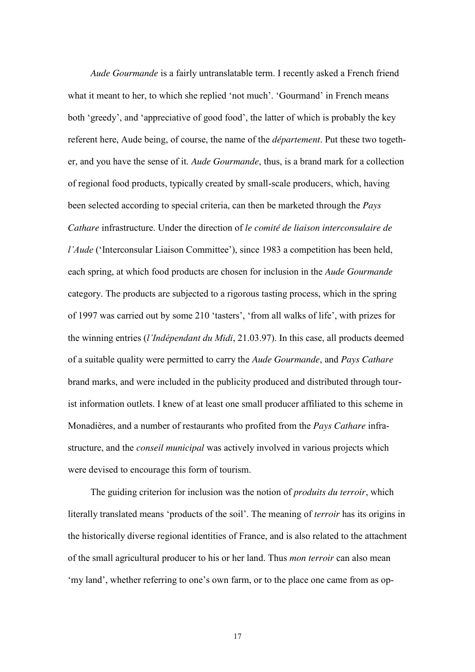*Aude Gourmande* is a fairly untranslatable term. I recently asked a French friend what it meant to her, to which she replied 'not much'. 'Gourmand' in French means both 'greedy', and 'appreciative of good food', the latter of which is probably the key referent here, Aude being, of course, the name of the *département*. Put these two together, and you have the sense of it. *Aude Gourmande*, thus, is a brand mark for a collection of regional food products, typically created by small-scale producers, which, having been selected according to special criteria, can then be marketed through the *Pays Cathare* infrastructure. Under the direction of *le comité de liaison interconsulaire de l'Aude* ('Interconsular Liaison Committee'), since 1983 a competition has been held, each spring, at which food products are chosen for inclusion in the *Aude Gourmande* category. The products are subjected to a rigorous tasting process, which in the spring of 1997 was carried out by some 210 'tasters', 'from all walks of life', with prizes for the winning entries (*l'Indépendant du Midi*, 21.03.97). In this case, all products deemed of a suitable quality were permitted to carry the *Aude Gourmande*, and *Pays Cathare* brand marks, and were included in the publicity produced and distributed through tourist information outlets. I knew of at least one small producer affiliated to this scheme in Monadières, and a number of restaurants who profited from the *Pays Cathare* infrastructure, and the *conseil municipal* was actively involved in various projects which were devised to encourage this form of tourism.

 The guiding criterion for inclusion was the notion of *produits du terroir*, which literally translated means 'products of the soil'. The meaning of *terroir* has its origins in the historically diverse regional identities of France, and is also related to the attachment of the small agricultural producer to his or her land. Thus *mon terroir* can also mean 'my land', whether referring to one's own farm, or to the place one came from as op-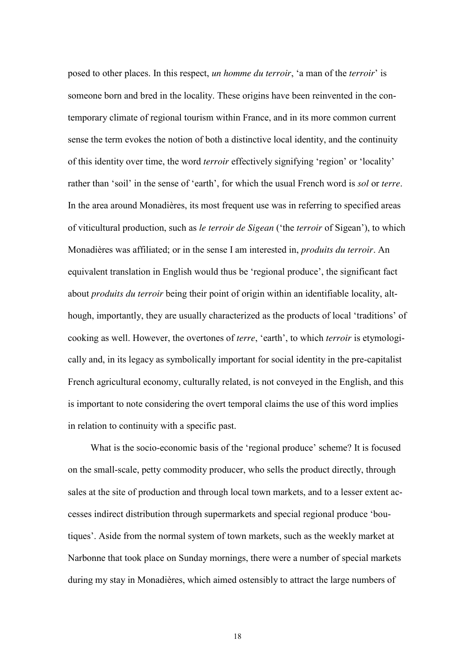posed to other places. In this respect, *un homme du terroir*, 'a man of the *terroir*' is someone born and bred in the locality. These origins have been reinvented in the contemporary climate of regional tourism within France, and in its more common current sense the term evokes the notion of both a distinctive local identity, and the continuity of this identity over time, the word *terroir* effectively signifying 'region' or 'locality' rather than 'soil' in the sense of 'earth', for which the usual French word is *sol* or *terre*. In the area around Monadières, its most frequent use was in referring to specified areas of viticultural production, such as *le terroir de Sigean* ('the *terroir* of Sigean'), to which Monadières was affiliated; or in the sense I am interested in, *produits du terroir*. An equivalent translation in English would thus be 'regional produce', the significant fact about *produits du terroir* being their point of origin within an identifiable locality, although, importantly, they are usually characterized as the products of local 'traditions' of cooking as well. However, the overtones of *terre*, 'earth', to which *terroir* is etymologically and, in its legacy as symbolically important for social identity in the pre-capitalist French agricultural economy, culturally related, is not conveyed in the English, and this is important to note considering the overt temporal claims the use of this word implies in relation to continuity with a specific past.

 What is the socio-economic basis of the 'regional produce' scheme? It is focused on the small-scale, petty commodity producer, who sells the product directly, through sales at the site of production and through local town markets, and to a lesser extent accesses indirect distribution through supermarkets and special regional produce 'boutiques'. Aside from the normal system of town markets, such as the weekly market at Narbonne that took place on Sunday mornings, there were a number of special markets during my stay in Monadières, which aimed ostensibly to attract the large numbers of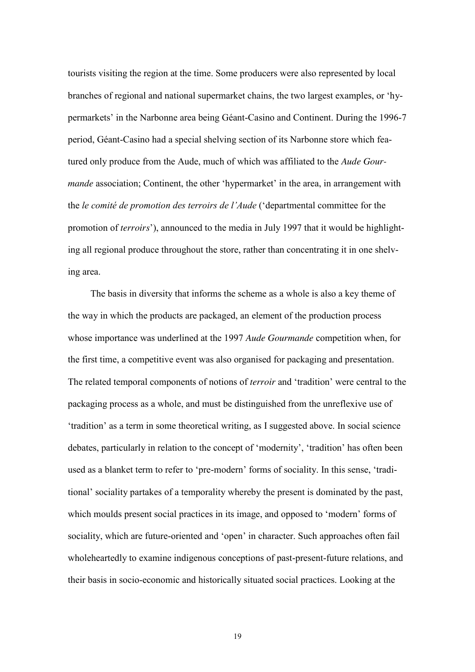tourists visiting the region at the time. Some producers were also represented by local branches of regional and national supermarket chains, the two largest examples, or 'hypermarkets' in the Narbonne area being Géant-Casino and Continent. During the 1996-7 period, Géant-Casino had a special shelving section of its Narbonne store which featured only produce from the Aude, much of which was affiliated to the *Aude Gourmande* association; Continent, the other 'hypermarket' in the area, in arrangement with the *le comité de promotion des terroirs de l'Aude* ('departmental committee for the promotion of *terroirs*'), announced to the media in July 1997 that it would be highlighting all regional produce throughout the store, rather than concentrating it in one shelving area.

 The basis in diversity that informs the scheme as a whole is also a key theme of the way in which the products are packaged, an element of the production process whose importance was underlined at the 1997 *Aude Gourmande* competition when, for the first time, a competitive event was also organised for packaging and presentation. The related temporal components of notions of *terroir* and 'tradition' were central to the packaging process as a whole, and must be distinguished from the unreflexive use of 'tradition' as a term in some theoretical writing, as I suggested above. In social science debates, particularly in relation to the concept of 'modernity', 'tradition' has often been used as a blanket term to refer to 'pre-modern' forms of sociality. In this sense, 'traditional' sociality partakes of a temporality whereby the present is dominated by the past, which moulds present social practices in its image, and opposed to 'modern' forms of sociality, which are future-oriented and 'open' in character. Such approaches often fail wholeheartedly to examine indigenous conceptions of past-present-future relations, and their basis in socio-economic and historically situated social practices. Looking at the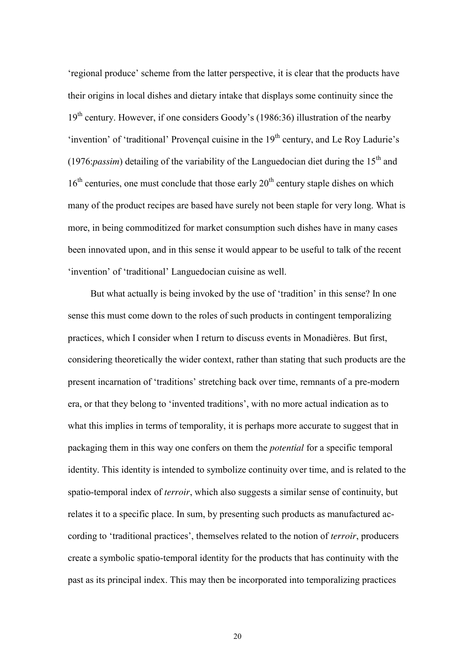'regional produce' scheme from the latter perspective, it is clear that the products have their origins in local dishes and dietary intake that displays some continuity since the  $19<sup>th</sup>$  century. However, if one considers Goody's (1986:36) illustration of the nearby 'invention' of 'traditional' Provençal cuisine in the  $19<sup>th</sup>$  century, and Le Roy Ladurie's (1976:*passim*) detailing of the variability of the Languedocian diet during the  $15<sup>th</sup>$  and  $16<sup>th</sup>$  centuries, one must conclude that those early  $20<sup>th</sup>$  century staple dishes on which many of the product recipes are based have surely not been staple for very long. What is more, in being commoditized for market consumption such dishes have in many cases been innovated upon, and in this sense it would appear to be useful to talk of the recent 'invention' of 'traditional' Languedocian cuisine as well.

But what actually is being invoked by the use of 'tradition' in this sense? In one sense this must come down to the roles of such products in contingent temporalizing practices, which I consider when I return to discuss events in Monadières. But first, considering theoretically the wider context, rather than stating that such products are the present incarnation of 'traditions' stretching back over time, remnants of a pre-modern era, or that they belong to 'invented traditions', with no more actual indication as to what this implies in terms of temporality, it is perhaps more accurate to suggest that in packaging them in this way one confers on them the *potential* for a specific temporal identity. This identity is intended to symbolize continuity over time, and is related to the spatio-temporal index of *terroir*, which also suggests a similar sense of continuity, but relates it to a specific place. In sum, by presenting such products as manufactured according to 'traditional practices', themselves related to the notion of *terroir*, producers create a symbolic spatio-temporal identity for the products that has continuity with the past as its principal index. This may then be incorporated into temporalizing practices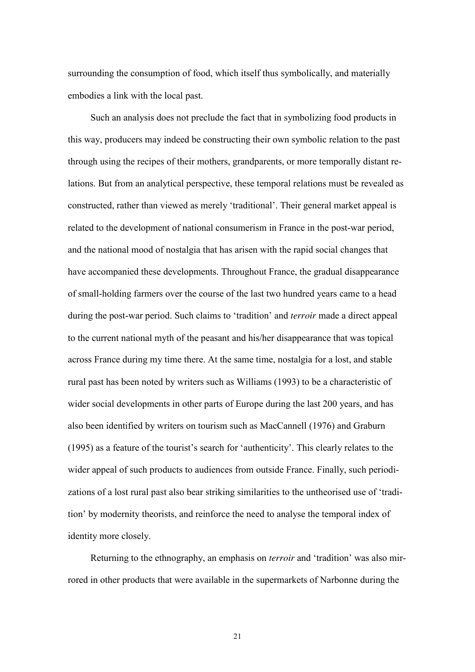surrounding the consumption of food, which itself thus symbolically, and materially embodies a link with the local past.

 Such an analysis does not preclude the fact that in symbolizing food products in this way, producers may indeed be constructing their own symbolic relation to the past through using the recipes of their mothers, grandparents, or more temporally distant relations. But from an analytical perspective, these temporal relations must be revealed as constructed, rather than viewed as merely 'traditional'. Their general market appeal is related to the development of national consumerism in France in the post-war period, and the national mood of nostalgia that has arisen with the rapid social changes that have accompanied these developments. Throughout France, the gradual disappearance of small-holding farmers over the course of the last two hundred years came to a head during the post-war period. Such claims to 'tradition' and *terroir* made a direct appeal to the current national myth of the peasant and his/her disappearance that was topical across France during my time there. At the same time, nostalgia for a lost, and stable rural past has been noted by writers such as Williams (1993) to be a characteristic of wider social developments in other parts of Europe during the last 200 years, and has also been identified by writers on tourism such as MacCannell (1976) and Graburn (1995) as a feature of the tourist's search for 'authenticity'. This clearly relates to the wider appeal of such products to audiences from outside France. Finally, such periodizations of a lost rural past also bear striking similarities to the untheorised use of 'tradition' by modernity theorists, and reinforce the need to analyse the temporal index of identity more closely.

 Returning to the ethnography, an emphasis on *terroir* and 'tradition' was also mirrored in other products that were available in the supermarkets of Narbonne during the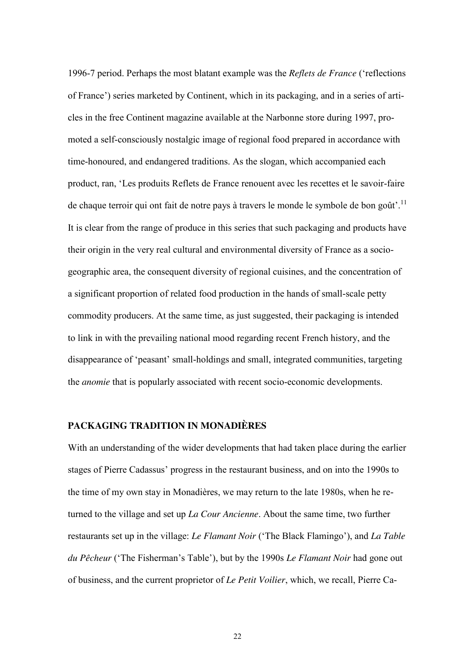1996-7 period. Perhaps the most blatant example was the *Reflets de France* ('reflections of France') series marketed by Continent, which in its packaging, and in a series of articles in the free Continent magazine available at the Narbonne store during 1997, promoted a self-consciously nostalgic image of regional food prepared in accordance with time-honoured, and endangered traditions. As the slogan, which accompanied each product, ran, 'Les produits Reflets de France renouent avec les recettes et le savoir-faire de chaque terroir qui ont fait de notre pays à travers le monde le symbole de bon goût'.<sup>11</sup> It is clear from the range of produce in this series that such packaging and products have their origin in the very real cultural and environmental diversity of France as a sociogeographic area, the consequent diversity of regional cuisines, and the concentration of a significant proportion of related food production in the hands of small-scale petty commodity producers. At the same time, as just suggested, their packaging is intended to link in with the prevailing national mood regarding recent French history, and the disappearance of 'peasant' small-holdings and small, integrated communities, targeting the *anomie* that is popularly associated with recent socio-economic developments.

#### **PACKAGING TRADITION IN MONADIÈRES**

With an understanding of the wider developments that had taken place during the earlier stages of Pierre Cadassus' progress in the restaurant business, and on into the 1990s to the time of my own stay in Monadières, we may return to the late 1980s, when he returned to the village and set up *La Cour Ancienne*. About the same time, two further restaurants set up in the village: *Le Flamant Noir* ('The Black Flamingo'), and *La Table du Pêcheur* ('The Fisherman's Table'), but by the 1990s *Le Flamant Noir* had gone out of business, and the current proprietor of *Le Petit Voilier*, which, we recall, Pierre Ca-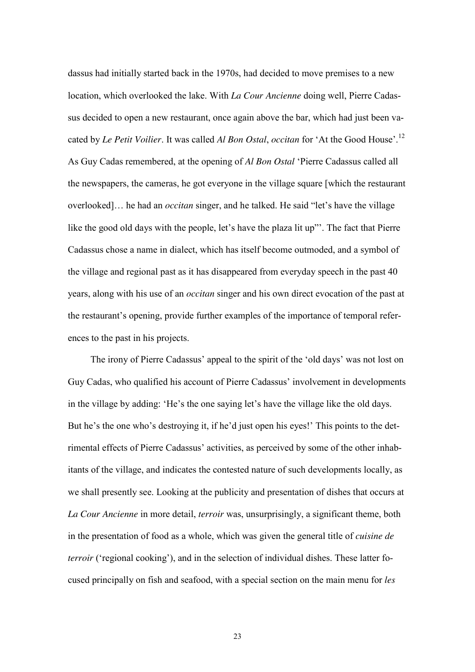dassus had initially started back in the 1970s, had decided to move premises to a new location, which overlooked the lake. With *La Cour Ancienne* doing well, Pierre Cadassus decided to open a new restaurant, once again above the bar, which had just been vacated by *Le Petit Voilier*. It was called *Al Bon Ostal*, *occitan* for 'At the Good House'.<sup>12</sup> As Guy Cadas remembered, at the opening of *Al Bon Ostal* 'Pierre Cadassus called all the newspapers, the cameras, he got everyone in the village square [which the restaurant overlooked]… he had an *occitan* singer, and he talked. He said "let's have the village like the good old days with the people, let's have the plaza lit up"'. The fact that Pierre Cadassus chose a name in dialect, which has itself become outmoded, and a symbol of the village and regional past as it has disappeared from everyday speech in the past 40 years, along with his use of an *occitan* singer and his own direct evocation of the past at the restaurant's opening, provide further examples of the importance of temporal references to the past in his projects.

The irony of Pierre Cadassus' appeal to the spirit of the 'old days' was not lost on Guy Cadas, who qualified his account of Pierre Cadassus' involvement in developments in the village by adding: 'He's the one saying let's have the village like the old days. But he's the one who's destroying it, if he'd just open his eyes!' This points to the detrimental effects of Pierre Cadassus' activities, as perceived by some of the other inhabitants of the village, and indicates the contested nature of such developments locally, as we shall presently see. Looking at the publicity and presentation of dishes that occurs at *La Cour Ancienne* in more detail, *terroir* was, unsurprisingly, a significant theme, both in the presentation of food as a whole, which was given the general title of *cuisine de terroir* ('regional cooking'), and in the selection of individual dishes. These latter focused principally on fish and seafood, with a special section on the main menu for *les*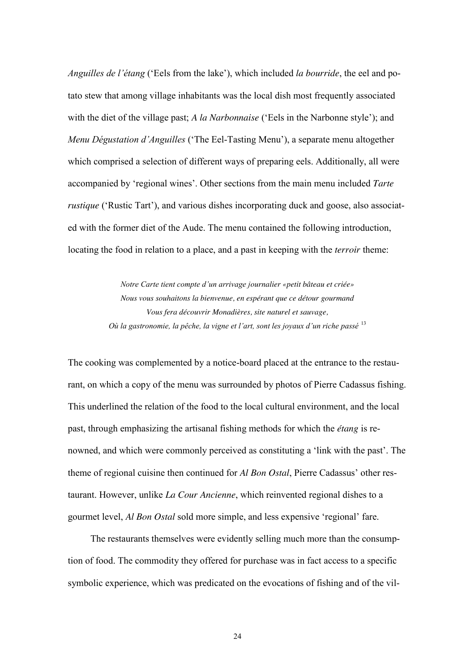*Anguilles de l'étang* ('Eels from the lake'), which included *la bourride*, the eel and potato stew that among village inhabitants was the local dish most frequently associated with the diet of the village past; *A la Narbonnaise* ('Eels in the Narbonne style'); and *Menu Dégustation d'Anguilles* ('The Eel-Tasting Menu'), a separate menu altogether which comprised a selection of different ways of preparing eels. Additionally, all were accompanied by 'regional wines'. Other sections from the main menu included *Tarte rustique* ('Rustic Tart'), and various dishes incorporating duck and goose, also associated with the former diet of the Aude. The menu contained the following introduction, locating the food in relation to a place, and a past in keeping with the *terroir* theme:

> *Notre Carte tient compte d'un arrivage journalier «petit bâteau et criée» Nous vous souhaitons la bienvenue, en espérant que ce détour gourmand Vous fera découvrir Monadières, site naturel et sauvage, Où la gastronomie, la pêche, la vigne et l'art, sont les joyaux d'un riche passé* <sup>13</sup>

The cooking was complemented by a notice-board placed at the entrance to the restaurant, on which a copy of the menu was surrounded by photos of Pierre Cadassus fishing. This underlined the relation of the food to the local cultural environment, and the local past, through emphasizing the artisanal fishing methods for which the *étang* is renowned, and which were commonly perceived as constituting a 'link with the past'. The theme of regional cuisine then continued for *Al Bon Ostal*, Pierre Cadassus' other restaurant. However, unlike *La Cour Ancienne*, which reinvented regional dishes to a gourmet level, *Al Bon Ostal* sold more simple, and less expensive 'regional' fare.

 The restaurants themselves were evidently selling much more than the consumption of food. The commodity they offered for purchase was in fact access to a specific symbolic experience, which was predicated on the evocations of fishing and of the vil-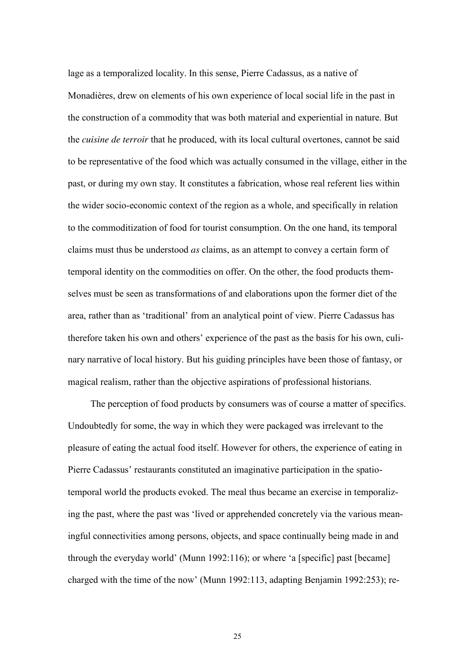lage as a temporalized locality. In this sense, Pierre Cadassus, as a native of Monadières, drew on elements of his own experience of local social life in the past in the construction of a commodity that was both material and experiential in nature. But the *cuisine de terroir* that he produced, with its local cultural overtones, cannot be said to be representative of the food which was actually consumed in the village, either in the past, or during my own stay. It constitutes a fabrication, whose real referent lies within the wider socio-economic context of the region as a whole, and specifically in relation to the commoditization of food for tourist consumption. On the one hand, its temporal claims must thus be understood *as* claims, as an attempt to convey a certain form of temporal identity on the commodities on offer. On the other, the food products themselves must be seen as transformations of and elaborations upon the former diet of the area, rather than as 'traditional' from an analytical point of view. Pierre Cadassus has therefore taken his own and others' experience of the past as the basis for his own, culinary narrative of local history. But his guiding principles have been those of fantasy, or magical realism, rather than the objective aspirations of professional historians.

 The perception of food products by consumers was of course a matter of specifics. Undoubtedly for some, the way in which they were packaged was irrelevant to the pleasure of eating the actual food itself. However for others, the experience of eating in Pierre Cadassus' restaurants constituted an imaginative participation in the spatiotemporal world the products evoked. The meal thus became an exercise in temporalizing the past, where the past was 'lived or apprehended concretely via the various meaningful connectivities among persons, objects, and space continually being made in and through the everyday world' (Munn 1992:116); or where 'a [specific] past [became] charged with the time of the now' (Munn 1992:113, adapting Benjamin 1992:253); re-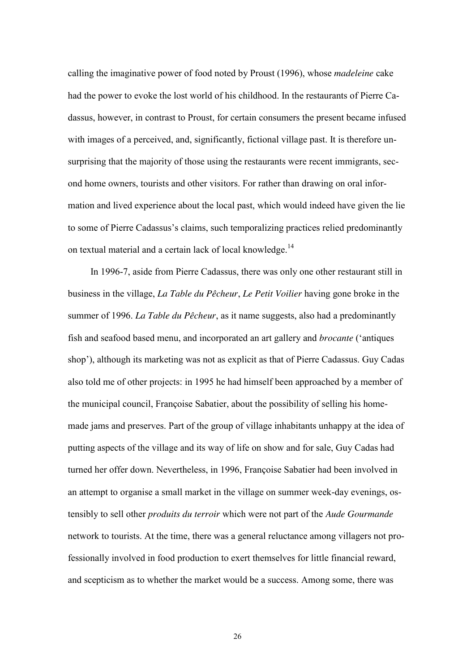calling the imaginative power of food noted by Proust (1996), whose *madeleine* cake had the power to evoke the lost world of his childhood. In the restaurants of Pierre Cadassus, however, in contrast to Proust, for certain consumers the present became infused with images of a perceived, and, significantly, fictional village past. It is therefore unsurprising that the majority of those using the restaurants were recent immigrants, second home owners, tourists and other visitors. For rather than drawing on oral information and lived experience about the local past, which would indeed have given the lie to some of Pierre Cadassus's claims, such temporalizing practices relied predominantly on textual material and a certain lack of local knowledge.<sup>14</sup>

 In 1996-7, aside from Pierre Cadassus, there was only one other restaurant still in business in the village, *La Table du Pêcheur*, *Le Petit Voilier* having gone broke in the summer of 1996. *La Table du Pêcheur*, as it name suggests, also had a predominantly fish and seafood based menu, and incorporated an art gallery and *brocante* ('antiques shop'), although its marketing was not as explicit as that of Pierre Cadassus. Guy Cadas also told me of other projects: in 1995 he had himself been approached by a member of the municipal council, Françoise Sabatier, about the possibility of selling his homemade jams and preserves. Part of the group of village inhabitants unhappy at the idea of putting aspects of the village and its way of life on show and for sale, Guy Cadas had turned her offer down. Nevertheless, in 1996, Françoise Sabatier had been involved in an attempt to organise a small market in the village on summer week-day evenings, ostensibly to sell other *produits du terroir* which were not part of the *Aude Gourmande* network to tourists. At the time, there was a general reluctance among villagers not professionally involved in food production to exert themselves for little financial reward, and scepticism as to whether the market would be a success. Among some, there was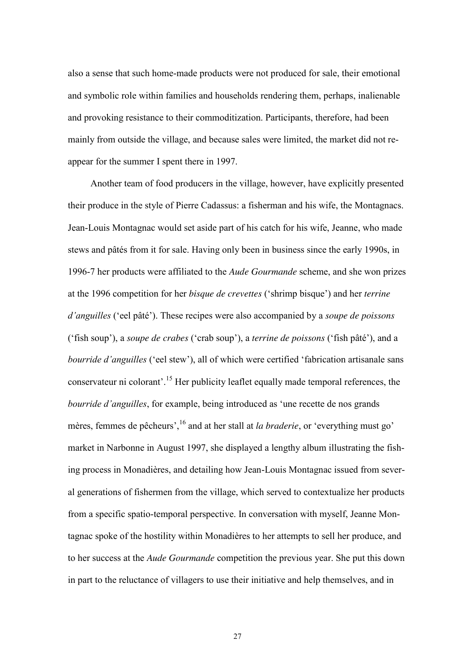also a sense that such home-made products were not produced for sale, their emotional and symbolic role within families and households rendering them, perhaps, inalienable and provoking resistance to their commoditization. Participants, therefore, had been mainly from outside the village, and because sales were limited, the market did not reappear for the summer I spent there in 1997.

 Another team of food producers in the village, however, have explicitly presented their produce in the style of Pierre Cadassus: a fisherman and his wife, the Montagnacs. Jean-Louis Montagnac would set aside part of his catch for his wife, Jeanne, who made stews and pâtés from it for sale. Having only been in business since the early 1990s, in 1996-7 her products were affiliated to the *Aude Gourmande* scheme, and she won prizes at the 1996 competition for her *bisque de crevettes* ('shrimp bisque') and her *terrine d'anguilles* ('eel pâté'). These recipes were also accompanied by a *soupe de poissons* ('fish soup'), a *soupe de crabes* ('crab soup'), a *terrine de poissons* ('fish pâté'), and a *bourride d'anguilles* ('eel stew'), all of which were certified 'fabrication artisanale sans conservateur ni colorant'.<sup>15</sup> Her publicity leaflet equally made temporal references, the *bourride d'anguilles*, for example, being introduced as 'une recette de nos grands mères, femmes de pêcheurs', <sup>16</sup> and at her stall at *la braderie*, or 'everything must go' market in Narbonne in August 1997, she displayed a lengthy album illustrating the fishing process in Monadières, and detailing how Jean-Louis Montagnac issued from several generations of fishermen from the village, which served to contextualize her products from a specific spatio-temporal perspective. In conversation with myself, Jeanne Montagnac spoke of the hostility within Monadières to her attempts to sell her produce, and to her success at the *Aude Gourmande* competition the previous year. She put this down in part to the reluctance of villagers to use their initiative and help themselves, and in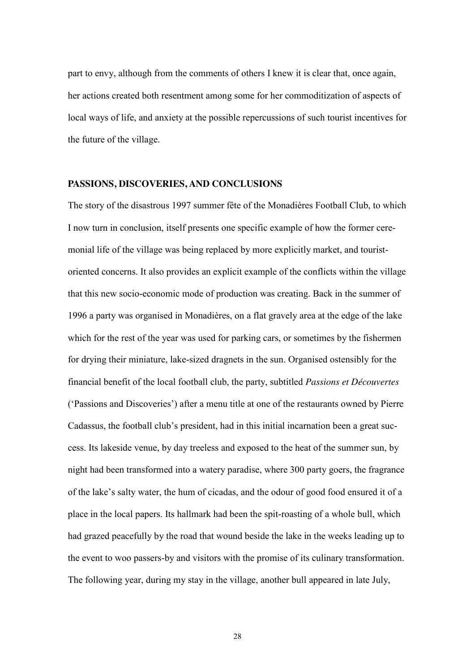part to envy, although from the comments of others I knew it is clear that, once again, her actions created both resentment among some for her commoditization of aspects of local ways of life, and anxiety at the possible repercussions of such tourist incentives for the future of the village.

#### **PASSIONS, DISCOVERIES, AND CONCLUSIONS**

The story of the disastrous 1997 summer fête of the Monadières Football Club, to which I now turn in conclusion, itself presents one specific example of how the former ceremonial life of the village was being replaced by more explicitly market, and touristoriented concerns. It also provides an explicit example of the conflicts within the village that this new socio-economic mode of production was creating. Back in the summer of 1996 a party was organised in Monadières, on a flat gravely area at the edge of the lake which for the rest of the year was used for parking cars, or sometimes by the fishermen for drying their miniature, lake-sized dragnets in the sun. Organised ostensibly for the financial benefit of the local football club, the party, subtitled *Passions et Découvertes* ('Passions and Discoveries') after a menu title at one of the restaurants owned by Pierre Cadassus, the football club's president, had in this initial incarnation been a great success. Its lakeside venue, by day treeless and exposed to the heat of the summer sun, by night had been transformed into a watery paradise, where 300 party goers, the fragrance of the lake's salty water, the hum of cicadas, and the odour of good food ensured it of a place in the local papers. Its hallmark had been the spit-roasting of a whole bull, which had grazed peacefully by the road that wound beside the lake in the weeks leading up to the event to woo passers-by and visitors with the promise of its culinary transformation. The following year, during my stay in the village, another bull appeared in late July,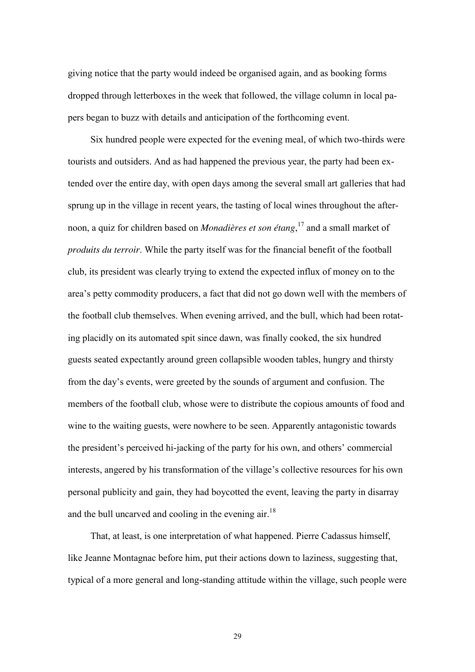giving notice that the party would indeed be organised again, and as booking forms dropped through letterboxes in the week that followed, the village column in local papers began to buzz with details and anticipation of the forthcoming event.

 Six hundred people were expected for the evening meal, of which two-thirds were tourists and outsiders. And as had happened the previous year, the party had been extended over the entire day, with open days among the several small art galleries that had sprung up in the village in recent years, the tasting of local wines throughout the afternoon, a quiz for children based on *Monadières et son étang*, <sup>17</sup> and a small market of *produits du terroir*. While the party itself was for the financial benefit of the football club, its president was clearly trying to extend the expected influx of money on to the area's petty commodity producers, a fact that did not go down well with the members of the football club themselves. When evening arrived, and the bull, which had been rotating placidly on its automated spit since dawn, was finally cooked, the six hundred guests seated expectantly around green collapsible wooden tables, hungry and thirsty from the day's events, were greeted by the sounds of argument and confusion. The members of the football club, whose were to distribute the copious amounts of food and wine to the waiting guests, were nowhere to be seen. Apparently antagonistic towards the president's perceived hi-jacking of the party for his own, and others' commercial interests, angered by his transformation of the village's collective resources for his own personal publicity and gain, they had boycotted the event, leaving the party in disarray and the bull uncarved and cooling in the evening air.<sup>18</sup>

 That, at least, is one interpretation of what happened. Pierre Cadassus himself, like Jeanne Montagnac before him, put their actions down to laziness, suggesting that, typical of a more general and long-standing attitude within the village, such people were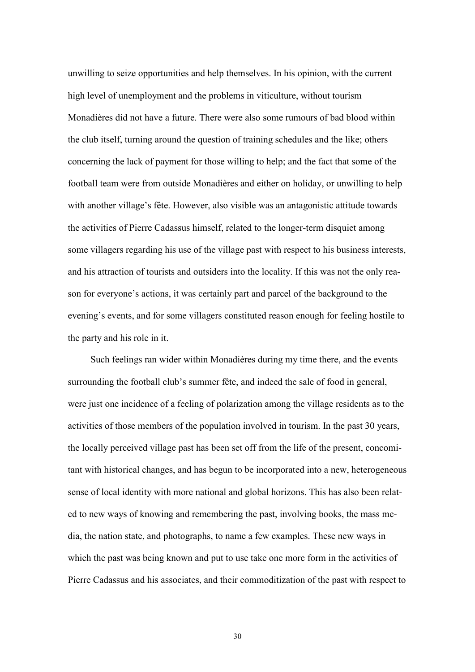unwilling to seize opportunities and help themselves. In his opinion, with the current high level of unemployment and the problems in viticulture, without tourism Monadières did not have a future. There were also some rumours of bad blood within the club itself, turning around the question of training schedules and the like; others concerning the lack of payment for those willing to help; and the fact that some of the football team were from outside Monadières and either on holiday, or unwilling to help with another village's fête. However, also visible was an antagonistic attitude towards the activities of Pierre Cadassus himself, related to the longer-term disquiet among some villagers regarding his use of the village past with respect to his business interests, and his attraction of tourists and outsiders into the locality. If this was not the only reason for everyone's actions, it was certainly part and parcel of the background to the evening's events, and for some villagers constituted reason enough for feeling hostile to the party and his role in it.

 Such feelings ran wider within Monadières during my time there, and the events surrounding the football club's summer fête, and indeed the sale of food in general, were just one incidence of a feeling of polarization among the village residents as to the activities of those members of the population involved in tourism. In the past 30 years, the locally perceived village past has been set off from the life of the present, concomitant with historical changes, and has begun to be incorporated into a new, heterogeneous sense of local identity with more national and global horizons. This has also been related to new ways of knowing and remembering the past, involving books, the mass media, the nation state, and photographs, to name a few examples. These new ways in which the past was being known and put to use take one more form in the activities of Pierre Cadassus and his associates, and their commoditization of the past with respect to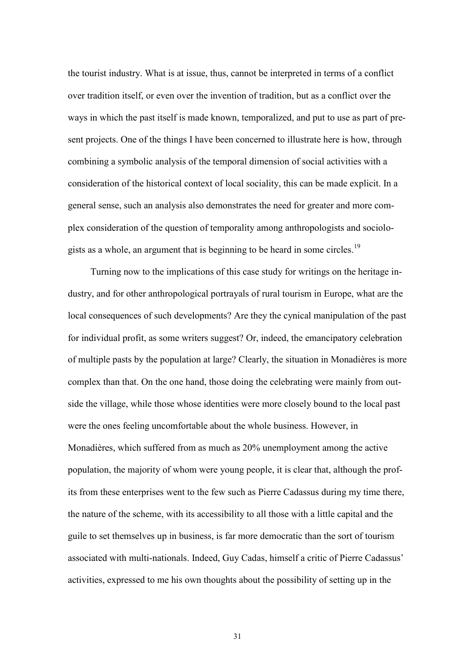the tourist industry. What is at issue, thus, cannot be interpreted in terms of a conflict over tradition itself, or even over the invention of tradition, but as a conflict over the ways in which the past itself is made known, temporalized, and put to use as part of present projects. One of the things I have been concerned to illustrate here is how, through combining a symbolic analysis of the temporal dimension of social activities with a consideration of the historical context of local sociality, this can be made explicit. In a general sense, such an analysis also demonstrates the need for greater and more complex consideration of the question of temporality among anthropologists and sociologists as a whole, an argument that is beginning to be heard in some circles.<sup>19</sup>

 Turning now to the implications of this case study for writings on the heritage industry, and for other anthropological portrayals of rural tourism in Europe, what are the local consequences of such developments? Are they the cynical manipulation of the past for individual profit, as some writers suggest? Or, indeed, the emancipatory celebration of multiple pasts by the population at large? Clearly, the situation in Monadières is more complex than that. On the one hand, those doing the celebrating were mainly from outside the village, while those whose identities were more closely bound to the local past were the ones feeling uncomfortable about the whole business. However, in Monadières, which suffered from as much as 20% unemployment among the active population, the majority of whom were young people, it is clear that, although the profits from these enterprises went to the few such as Pierre Cadassus during my time there, the nature of the scheme, with its accessibility to all those with a little capital and the guile to set themselves up in business, is far more democratic than the sort of tourism associated with multi-nationals. Indeed, Guy Cadas, himself a critic of Pierre Cadassus' activities, expressed to me his own thoughts about the possibility of setting up in the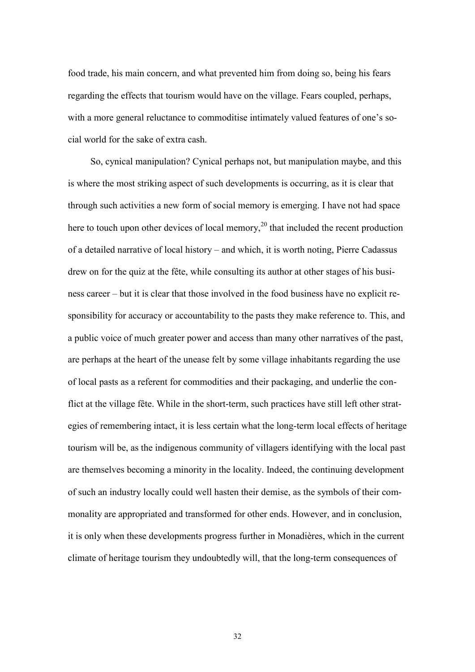food trade, his main concern, and what prevented him from doing so, being his fears regarding the effects that tourism would have on the village. Fears coupled, perhaps, with a more general reluctance to commoditise intimately valued features of one's social world for the sake of extra cash.

 So, cynical manipulation? Cynical perhaps not, but manipulation maybe, and this is where the most striking aspect of such developments is occurring, as it is clear that through such activities a new form of social memory is emerging. I have not had space here to touch upon other devices of local memory,<sup>20</sup> that included the recent production of a detailed narrative of local history – and which, it is worth noting, Pierre Cadassus drew on for the quiz at the fête, while consulting its author at other stages of his business career – but it is clear that those involved in the food business have no explicit responsibility for accuracy or accountability to the pasts they make reference to. This, and a public voice of much greater power and access than many other narratives of the past, are perhaps at the heart of the unease felt by some village inhabitants regarding the use of local pasts as a referent for commodities and their packaging, and underlie the conflict at the village fête. While in the short-term, such practices have still left other strategies of remembering intact, it is less certain what the long-term local effects of heritage tourism will be, as the indigenous community of villagers identifying with the local past are themselves becoming a minority in the locality. Indeed, the continuing development of such an industry locally could well hasten their demise, as the symbols of their commonality are appropriated and transformed for other ends. However, and in conclusion, it is only when these developments progress further in Monadières, which in the current climate of heritage tourism they undoubtedly will, that the long-term consequences of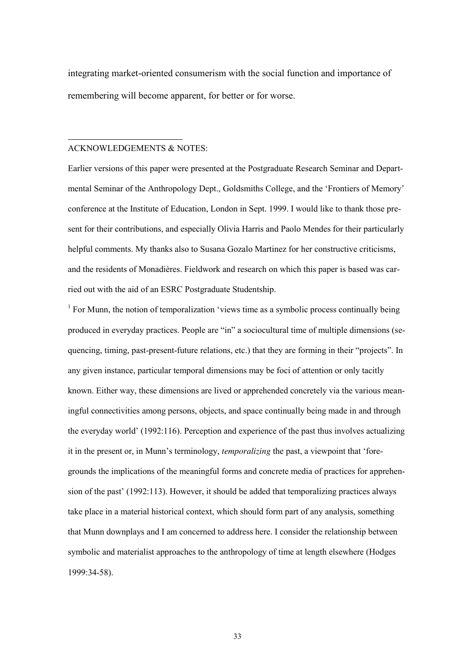integrating market-oriented consumerism with the social function and importance of remembering will become apparent, for better or for worse.

#### ACKNOWLEDGEMENTS & NOTES:

-

Earlier versions of this paper were presented at the Postgraduate Research Seminar and Departmental Seminar of the Anthropology Dept., Goldsmiths College, and the 'Frontiers of Memory' conference at the Institute of Education, London in Sept. 1999. I would like to thank those present for their contributions, and especially Olivia Harris and Paolo Mendes for their particularly helpful comments. My thanks also to Susana Gozalo Martinez for her constructive criticisms, and the residents of Monadières. Fieldwork and research on which this paper is based was carried out with the aid of an ESRC Postgraduate Studentship.

<sup>1</sup> For Munn, the notion of temporalization 'views time as a symbolic process continually being produced in everyday practices. People are "in" a sociocultural time of multiple dimensions (sequencing, timing, past-present-future relations, etc.) that they are forming in their "projects". In any given instance, particular temporal dimensions may be foci of attention or only tacitly known. Either way, these dimensions are lived or apprehended concretely via the various meaningful connectivities among persons, objects, and space continually being made in and through the everyday world' (1992:116). Perception and experience of the past thus involves actualizing it in the present or, in Munn's terminology, *temporalizing* the past, a viewpoint that 'foregrounds the implications of the meaningful forms and concrete media of practices for apprehension of the past' (1992:113). However, it should be added that temporalizing practices always take place in a material historical context, which should form part of any analysis, something that Munn downplays and I am concerned to address here. I consider the relationship between symbolic and materialist approaches to the anthropology of time at length elsewhere (Hodges 1999:34-58).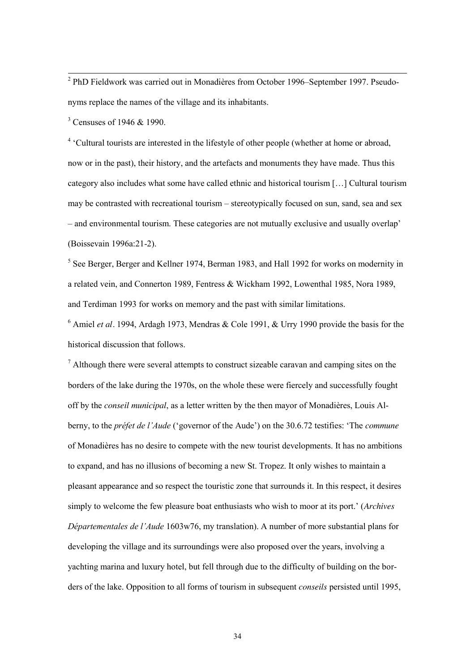<sup>2</sup> PhD Fieldwork was carried out in Monadières from October 1996–September 1997. Pseudonyms replace the names of the village and its inhabitants.

<sup>3</sup> Censuses of 1946 & 1990.

<sup>4</sup> 'Cultural tourists are interested in the lifestyle of other people (whether at home or abroad, now or in the past), their history, and the artefacts and monuments they have made. Thus this category also includes what some have called ethnic and historical tourism […] Cultural tourism may be contrasted with recreational tourism – stereotypically focused on sun, sand, sea and sex – and environmental tourism. These categories are not mutually exclusive and usually overlap' (Boissevain 1996a:21-2).

<sup>5</sup> See Berger, Berger and Kellner 1974, Berman 1983, and Hall 1992 for works on modernity in a related vein, and Connerton 1989, Fentress & Wickham 1992, Lowenthal 1985, Nora 1989, and Terdiman 1993 for works on memory and the past with similar limitations.

<sup>6</sup> Amiel *et al.* 1994, Ardagh 1973, Mendras & Cole 1991, & Urry 1990 provide the basis for the historical discussion that follows.

 $<sup>7</sup>$  Although there were several attempts to construct sizeable caravan and camping sites on the</sup> borders of the lake during the 1970s, on the whole these were fiercely and successfully fought off by the *conseil municipal*, as a letter written by the then mayor of Monadières, Louis Alberny, to the *préfet de l'Aude* ('governor of the Aude') on the 30.6.72 testifies: 'The *commune* of Monadières has no desire to compete with the new tourist developments. It has no ambitions to expand, and has no illusions of becoming a new St. Tropez. It only wishes to maintain a pleasant appearance and so respect the touristic zone that surrounds it. In this respect, it desires simply to welcome the few pleasure boat enthusiasts who wish to moor at its port.' (*Archives Départementales de l'Aude* 1603w76, my translation). A number of more substantial plans for developing the village and its surroundings were also proposed over the years, involving a yachting marina and luxury hotel, but fell through due to the difficulty of building on the borders of the lake. Opposition to all forms of tourism in subsequent *conseils* persisted until 1995,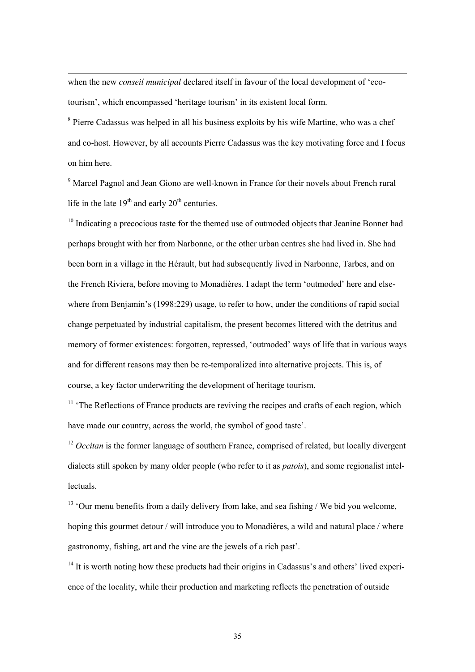when the new *conseil municipal* declared itself in favour of the local development of 'ecotourism', which encompassed 'heritage tourism' in its existent local form.

-

<sup>8</sup> Pierre Cadassus was helped in all his business exploits by his wife Martine, who was a chef and co-host. However, by all accounts Pierre Cadassus was the key motivating force and I focus on him here.

<sup>9</sup> Marcel Pagnol and Jean Giono are well-known in France for their novels about French rural life in the late  $19<sup>th</sup>$  and early  $20<sup>th</sup>$  centuries.

 $10$  Indicating a precocious taste for the themed use of outmoded objects that Jeanine Bonnet had perhaps brought with her from Narbonne, or the other urban centres she had lived in. She had been born in a village in the Hérault, but had subsequently lived in Narbonne, Tarbes, and on the French Riviera, before moving to Monadières. I adapt the term 'outmoded' here and elsewhere from Benjamin's (1998:229) usage, to refer to how, under the conditions of rapid social change perpetuated by industrial capitalism, the present becomes littered with the detritus and memory of former existences: forgotten, repressed, 'outmoded' ways of life that in various ways and for different reasons may then be re-temporalized into alternative projects. This is, of course, a key factor underwriting the development of heritage tourism.

<sup>11</sup> 'The Reflections of France products are reviving the recipes and crafts of each region, which have made our country, across the world, the symbol of good taste'.

<sup>12</sup> *Occitan* is the former language of southern France, comprised of related, but locally divergent dialects still spoken by many older people (who refer to it as *patois*), and some regionalist intellectuals.

 $13$  'Our menu benefits from a daily delivery from lake, and sea fishing / We bid you welcome, hoping this gourmet detour / will introduce you to Monadières, a wild and natural place / where gastronomy, fishing, art and the vine are the jewels of a rich past'.

 $14$  It is worth noting how these products had their origins in Cadassus's and others' lived experience of the locality, while their production and marketing reflects the penetration of outside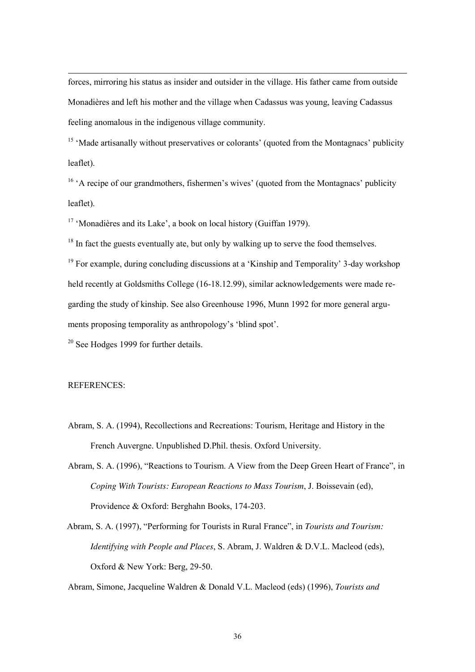forces, mirroring his status as insider and outsider in the village. His father came from outside Monadières and left his mother and the village when Cadassus was young, leaving Cadassus feeling anomalous in the indigenous village community.

<sup>15</sup> 'Made artisanally without preservatives or colorants' (quoted from the Montagnacs' publicity leaflet).

<sup>16</sup> 'A recipe of our grandmothers, fishermen's wives' (quoted from the Montagnacs' publicity leaflet).

<sup>17</sup> 'Monadières and its Lake', a book on local history (Guiffan 1979).

 $18$  In fact the guests eventually ate, but only by walking up to serve the food themselves.

 $19$  For example, during concluding discussions at a 'Kinship and Temporality' 3-day workshop held recently at Goldsmiths College (16-18.12.99), similar acknowledgements were made regarding the study of kinship. See also Greenhouse 1996, Munn 1992 for more general arguments proposing temporality as anthropology's 'blind spot'.

<sup>20</sup> See Hodges 1999 for further details.

#### REFERENCES:

-

- Abram, S. A. (1994), Recollections and Recreations: Tourism, Heritage and History in the French Auvergne. Unpublished D.Phil. thesis. Oxford University.
- Abram, S. A. (1996), "Reactions to Tourism. A View from the Deep Green Heart of France", in *Coping With Tourists: European Reactions to Mass Tourism*, J. Boissevain (ed), Providence & Oxford: Berghahn Books, 174-203.
- Abram, S. A. (1997), "Performing for Tourists in Rural France", in *Tourists and Tourism: Identifying with People and Places*, S. Abram, J. Waldren & D.V.L. Macleod (eds), Oxford & New York: Berg, 29-50.

Abram, Simone, Jacqueline Waldren & Donald V.L. Macleod (eds) (1996), *Tourists and*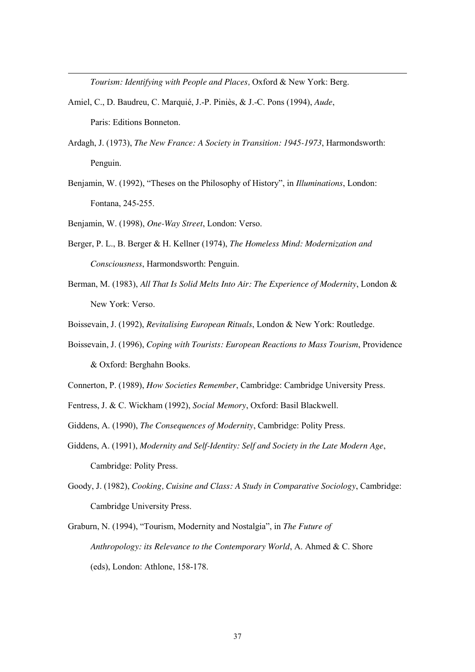*Tourism: Identifying with People and Places,* Oxford & New York: Berg.

- Amiel, C., D. Baudreu, C. Marquié, J.-P. Piniès, & J.-C. Pons (1994), *Aude*, Paris: Editions Bonneton.
- Ardagh, J. (1973), *The New France: A Society in Transition: 1945-1973*, Harmondsworth: Penguin.
- Benjamin, W. (1992), "Theses on the Philosophy of History", in *Illuminations*, London: Fontana, 245-255.
- Benjamin, W. (1998), *One-Way Street*, London: Verso.

-

- Berger, P. L., B. Berger & H. Kellner (1974), *The Homeless Mind: Modernization and Consciousness*, Harmondsworth: Penguin.
- Berman, M. (1983), *All That Is Solid Melts Into Air: The Experience of Modernity*, London & New York: Verso.
- Boissevain, J. (1992), *Revitalising European Rituals*, London & New York: Routledge.
- Boissevain, J. (1996), *Coping with Tourists: European Reactions to Mass Tourism*, Providence & Oxford: Berghahn Books.
- Connerton, P. (1989), *How Societies Remember*, Cambridge: Cambridge University Press.
- Fentress, J. & C. Wickham (1992), *Social Memory*, Oxford: Basil Blackwell.
- Giddens, A. (1990), *The Consequences of Modernity*, Cambridge: Polity Press.
- Giddens, A. (1991), *Modernity and Self-Identity: Self and Society in the Late Modern Age*, Cambridge: Polity Press.
- Goody, J. (1982), *Cooking, Cuisine and Class: A Study in Comparative Sociology*, Cambridge: Cambridge University Press.
- Graburn, N. (1994), "Tourism, Modernity and Nostalgia", in *The Future of Anthropology: its Relevance to the Contemporary World*, A. Ahmed & C. Shore (eds), London: Athlone, 158-178.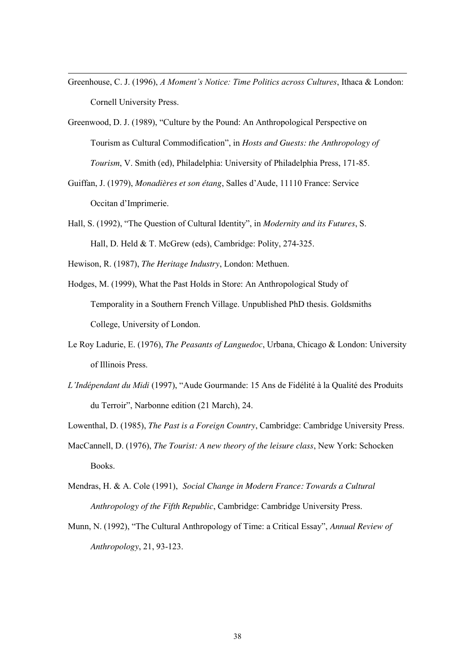- Greenhouse, C. J. (1996), *A Moment's Notice: Time Politics across Cultures*, Ithaca & London: Cornell University Press.
- Greenwood, D. J. (1989), "Culture by the Pound: An Anthropological Perspective on Tourism as Cultural Commodification", in *Hosts and Guests: the Anthropology of Tourism*, V. Smith (ed), Philadelphia: University of Philadelphia Press, 171-85.
- Guiffan, J. (1979), *Monadières et son étang*, Salles d'Aude, 11110 France: Service Occitan d'Imprimerie.
- Hall, S. (1992), "The Question of Cultural Identity", in *Modernity and its Futures*, S. Hall, D. Held & T. McGrew (eds), Cambridge: Polity, 274-325.

Hewison, R. (1987), *The Heritage Industry*, London: Methuen.

-

- Hodges, M. (1999), What the Past Holds in Store: An Anthropological Study of Temporality in a Southern French Village. Unpublished PhD thesis. Goldsmiths College, University of London.
- Le Roy Ladurie, E. (1976), *The Peasants of Languedoc*, Urbana, Chicago & London: University of Illinois Press.
- *L'Indépendant du Midi* (1997), "Aude Gourmande: 15 Ans de Fidélité à la Qualité des Produits du Terroir", Narbonne edition (21 March), 24.
- Lowenthal, D. (1985), *The Past is a Foreign Country*, Cambridge: Cambridge University Press.
- MacCannell, D. (1976), *The Tourist: A new theory of the leisure class*, New York: Schocken Books.
- Mendras, H. & A. Cole (1991), *Social Change in Modern France: Towards a Cultural Anthropology of the Fifth Republic*, Cambridge: Cambridge University Press.
- Munn, N. (1992), "The Cultural Anthropology of Time: a Critical Essay", *Annual Review of Anthropology*, 21, 93-123.